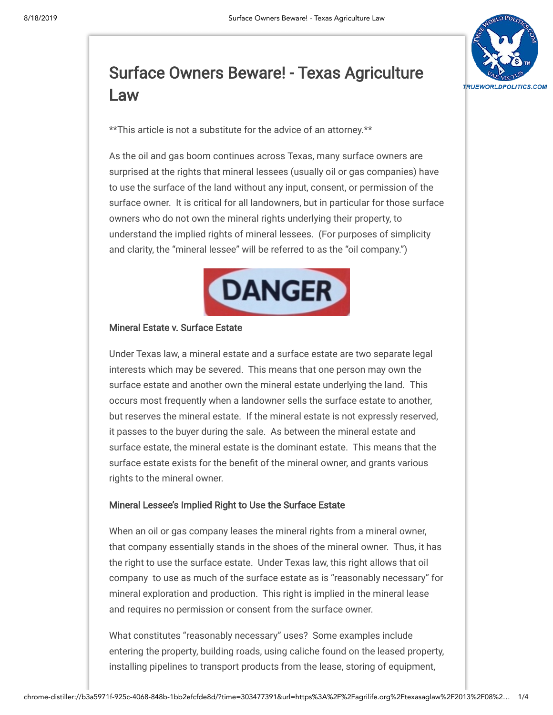

# Surface Owners Beware! - Texas [Agriculture](https://agrilife.org/texasaglaw/2013/08/19/surface-owners-beware/) Law

\*\*This article is not a substitute for the advice of an attorney.\*\*

As the oil and gas boom continues across Texas, many surface owners are surprised at the rights that mineral lessees (usually oil or gas companies) have to use the surface of the land without any input, consent, or permission of the surface owner. It is critical for all landowners, but in particular for those surface owners who do not own the mineral rights underlying their property, to understand the implied rights of mineral lessees. (For purposes of simplicity and clarity, the "mineral lessee" will be referred to as the "oil company.")



## Mineral Estate v. Surface Estate

Under Texas law, a mineral estate and a surface estate are two separate legal interests which may be severed. This means that one person may own the surface estate and another own the mineral estate underlying the land. This occurs most frequently when a landowner sells the surface estate to another, but reserves the mineral estate. If the mineral estate is not expressly reserved, it passes to the buyer during the sale. As between the mineral estate and surface estate, the mineral estate is the dominant estate. This means that the surface estate exists for the benefit of the mineral owner, and grants various rights to the mineral owner.

## Mineral Lessee's Implied Right to Use the Surface Estate

When an oil or gas company leases the mineral rights from a mineral owner, that company essentially stands in the shoes of the mineral owner. Thus, it has the right to use the surface estate. Under Texas law, this right allows that oil company to use as much of the surface estate as is "reasonably necessary" for mineral exploration and production. This right is implied in the mineral lease and requires no permission or consent from the surface owner.

What constitutes "reasonably necessary" uses? Some examples include entering the property, building roads, using caliche found on the leased property, installing pipelines to transport products from the lease, storing of equipment,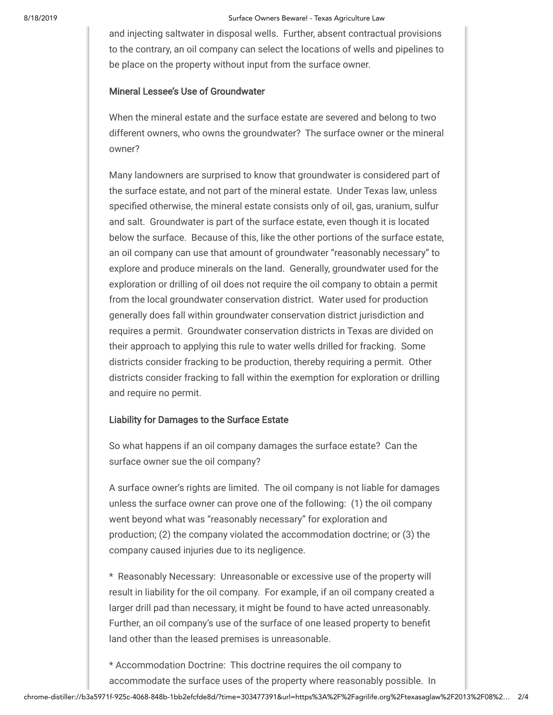and injecting saltwater in disposal wells. Further, absent contractual provisions to the contrary, an oil company can select the locations of wells and pipelines to be place on the property without input from the surface owner.

## Mineral Lessee's Use of Groundwater

When the mineral estate and the surface estate are severed and belong to two different owners, who owns the groundwater? The surface owner or the mineral owner?

Many landowners are surprised to know that groundwater is considered part of the surface estate, and not part of the mineral estate. Under Texas law, unless specified otherwise, the mineral estate consists only of oil, gas, uranium, sulfur and salt. Groundwater is part of the surface estate, even though it is located below the surface. Because of this, like the other portions of the surface estate, an oil company can use that amount of groundwater "reasonably necessary" to explore and produce minerals on the land. Generally, groundwater used for the exploration or drilling of oil does not require the oil company to obtain a permit from the local groundwater conservation district. Water used for production generally does fall within groundwater conservation district jurisdiction and requires a permit. Groundwater conservation districts in Texas are divided on their approach to applying this rule to water wells drilled for fracking. Some districts consider fracking to be production, thereby requiring a permit. Other districts consider fracking to fall within the exemption for exploration or drilling and require no permit.

#### Liability for Damages to the Surface Estate

So what happens if an oil company damages the surface estate? Can the surface owner sue the oil company?

A surface owner's rights are limited. The oil company is not liable for damages unless the surface owner can prove one of the following: (1) the oil company went beyond what was "reasonably necessary" for exploration and production; (2) the company violated the accommodation doctrine; or (3) the company caused injuries due to its negligence.

\* Reasonably Necessary: Unreasonable or excessive use of the property will result in liability for the oil company. For example, if an oil company created a larger drill pad than necessary, it might be found to have acted unreasonably. Further, an oil company's use of the surface of one leased property to benefit land other than the leased premises is unreasonable.

\* Accommodation Doctrine: This doctrine requires the oil company to accommodate the surface uses of the property where reasonably possible. In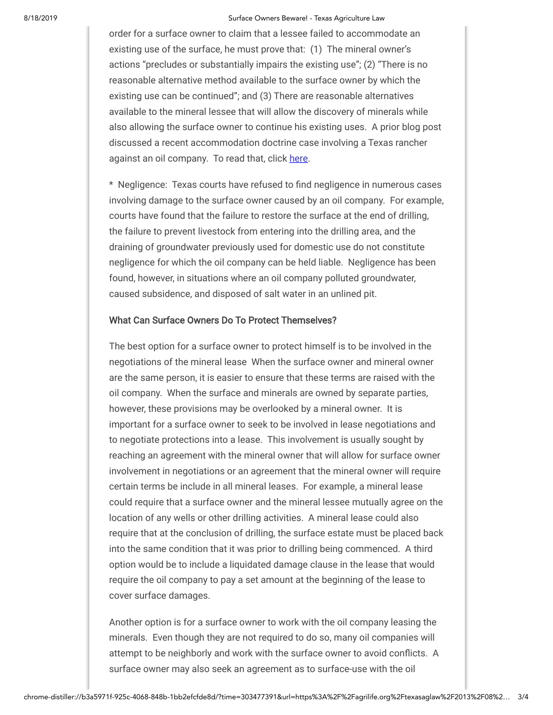#### 8/18/2019 Surface Owners Beware! - Texas Agriculture Law

order for a surface owner to claim that a lessee failed to accommodate an existing use of the surface, he must prove that: (1) The mineral owner's actions "precludes or substantially impairs the existing use"; (2) "There is no reasonable alternative method available to the surface owner by which the existing use can be continued"; and (3) There are reasonable alternatives available to the mineral lessee that will allow the discovery of minerals while also allowing the surface owner to continue his existing uses. A prior blog post discussed a recent accommodation doctrine case involving a Texas rancher against an oil company. To read that, click [here.](https://agrilife.org/texasaglaw/2013/07/08/a-cattle-rancher-v-an-oil-company-the-accomodation-doctrine/)

\* Negligence: Texas courts have refused to find negligence in numerous cases involving damage to the surface owner caused by an oil company. For example, courts have found that the failure to restore the surface at the end of drilling, the failure to prevent livestock from entering into the drilling area, and the draining of groundwater previously used for domestic use do not constitute negligence for which the oil company can be held liable. Negligence has been found, however, in situations where an oil company polluted groundwater, caused subsidence, and disposed of salt water in an unlined pit.

### What Can Surface Owners Do To Protect Themselves?

The best option for a surface owner to protect himself is to be involved in the negotiations of the mineral lease When the surface owner and mineral owner are the same person, it is easier to ensure that these terms are raised with the oil company. When the surface and minerals are owned by separate parties, however, these provisions may be overlooked by a mineral owner. It is important for a surface owner to seek to be involved in lease negotiations and to negotiate protections into a lease. This involvement is usually sought by reaching an agreement with the mineral owner that will allow for surface owner involvement in negotiations or an agreement that the mineral owner will require certain terms be include in all mineral leases. For example, a mineral lease could require that a surface owner and the mineral lessee mutually agree on the location of any wells or other drilling activities. A mineral lease could also require that at the conclusion of drilling, the surface estate must be placed back into the same condition that it was prior to drilling being commenced. A third option would be to include a liquidated damage clause in the lease that would require the oil company to pay a set amount at the beginning of the lease to cover surface damages.

Another option is for a surface owner to work with the oil company leasing the minerals. Even though they are not required to do so, many oil companies will attempt to be neighborly and work with the surface owner to avoid conflicts. A surface owner may also seek an agreement as to surface-use with the oil